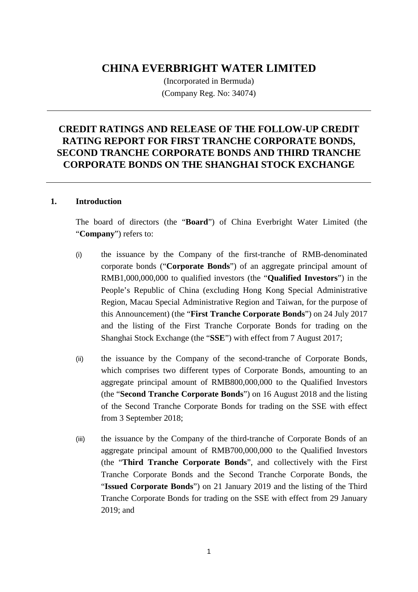# **CHINA EVERBRIGHT WATER LIMITED**

(Incorporated in Bermuda) (Company Reg. No: 34074)

# **CREDIT RATINGS AND RELEASE OF THE FOLLOW-UP CREDIT RATING REPORT FOR FIRST TRANCHE CORPORATE BONDS, SECOND TRANCHE CORPORATE BONDS AND THIRD TRANCHE CORPORATE BONDS ON THE SHANGHAI STOCK EXCHANGE**

#### **1. Introduction**

The board of directors (the "**Board**") of China Everbright Water Limited (the "**Company**") refers to:

- (i) the issuance by the Company of the first-tranche of RMB-denominated corporate bonds ("**Corporate Bonds**") of an aggregate principal amount of RMB1,000,000,000 to qualified investors (the "**Qualified Investors**") in the People's Republic of China (excluding Hong Kong Special Administrative Region, Macau Special Administrative Region and Taiwan, for the purpose of this Announcement) (the "**First Tranche Corporate Bonds**") on 24 July 2017 and the listing of the First Tranche Corporate Bonds for trading on the Shanghai Stock Exchange (the "**SSE**") with effect from 7 August 2017;
- (ii) the issuance by the Company of the second-tranche of Corporate Bonds, which comprises two different types of Corporate Bonds, amounting to an aggregate principal amount of RMB800,000,000 to the Qualified Investors (the "**Second Tranche Corporate Bonds**") on 16 August 2018 and the listing of the Second Tranche Corporate Bonds for trading on the SSE with effect from 3 September 2018;
- (iii) the issuance by the Company of the third-tranche of Corporate Bonds of an aggregate principal amount of RMB700,000,000 to the Qualified Investors (the "**Third Tranche Corporate Bonds**", and collectively with the First Tranche Corporate Bonds and the Second Tranche Corporate Bonds, the "**Issued Corporate Bonds**") on 21 January 2019 and the listing of the Third Tranche Corporate Bonds for trading on the SSE with effect from 29 January 2019; and